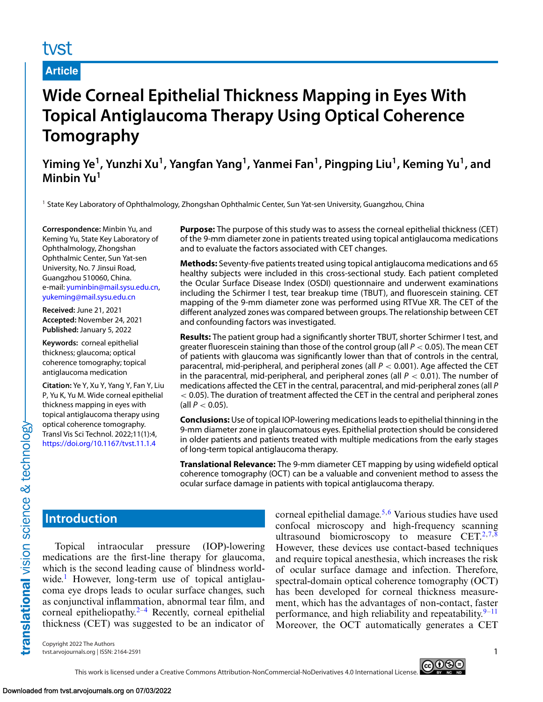# tyst

# **Article**

# **Wide Corneal Epithelial Thickness Mapping in Eyes With Topical Antiglaucoma Therapy Using Optical Coherence Tomography**

**Yiming Ye1, Yunzhi Xu1, Yangfan Yang1, Yanmei Fan1, Pingping Liu1, Keming Yu1, and Minbin Yu<sup>1</sup>**

<sup>1</sup> State Key Laboratory of Ophthalmology, Zhongshan Ophthalmic Center, Sun Yat-sen University, Guangzhou, China

**Correspondence:** Minbin Yu, and Keming Yu, State Key Laboratory of Ophthalmology, Zhongshan Ophthalmic Center, Sun Yat-sen University, No. 7 Jinsui Road, Guangzhou 510060, China. e-mail: [yuminbin@mail.sysu.edu.cn,](mailto:yuminbin@mail.sysu.edu.cn) [yukeming@mail.sysu.edu.cn](mailto:yukeming@mail.sysu.edu.cn)

**Received:** June 21, 2021 **Accepted:** November 24, 2021 **Published:** January 5, 2022

**Keywords:** corneal epithelial thickness; glaucoma; optical coherence tomography; topical antiglaucoma medication

**Citation:** Ye Y, Xu Y, Yang Y, Fan Y, Liu P, Yu K, Yu M. Wide corneal epithelial thickness mapping in eyes with topical antiglaucoma therapy using optical coherence tomography. Transl Vis Sci Technol. 2022;11(1):4, <https://doi.org/10.1167/tvst.11.1.4>

**Purpose:** The purpose of this study was to assess the corneal epithelial thickness (CET) of the 9-mm diameter zone in patients treated using topical antiglaucoma medications and to evaluate the factors associated with CET changes.

**Methods:** Seventy-five patients treated using topical antiglaucoma medications and 65 healthy subjects were included in this cross-sectional study. Each patient completed the Ocular Surface Disease Index (OSDI) questionnaire and underwent examinations including the Schirmer I test, tear breakup time (TBUT), and fluorescein staining. CET mapping of the 9-mm diameter zone was performed using RTVue XR. The CET of the different analyzed zones was compared between groups. The relationship between CET and confounding factors was investigated.

**Results:** The patient group had a significantly shorter TBUT, shorter Schirmer I test, and greater fluorescein staining than those of the control group (all *P* < 0.05). The mean CET of patients with glaucoma was significantly lower than that of controls in the central, paracentral, mid-peripheral, and peripheral zones (all *P* < 0.001). Age affected the CET in the paracentral, mid-peripheral, and peripheral zones (all  $P < 0.01$ ). The number of medications affected the CET in the central, paracentral, and mid-peripheral zones (all *P* < 0.05). The duration of treatment affected the CET in the central and peripheral zones (all  $P < 0.05$ ).

**Conclusions:** Use of topical IOP-lowering medications leads to epithelial thinning in the 9-mm diameter zone in glaucomatous eyes. Epithelial protection should be considered in older patients and patients treated with multiple medications from the early stages of long-term topical antiglaucoma therapy.

**Translational Relevance:** The 9-mm diameter CET mapping by using widefield optical coherence tomography (OCT) can be a valuable and convenient method to assess the ocular surface damage in patients with topical antiglaucoma therapy.

# **Introduction**

translational vision science & technology

Topical intraocular pressure (IOP)-lowering medications are the first-line therapy for glaucoma, which is the second leading cause of blindness world-wide.<sup>[1](#page-7-0)</sup> However, long-term use of topical antiglaucoma eye drops leads to ocular surface changes, such as conjunctival inflammation, abnormal tear film, and corneal epitheliopathy. $2-4$  Recently, corneal epithelial thickness (CET) was suggested to be an indicator of corneal epithelial damage.<sup>[5,6](#page-7-0)</sup> Various studies have used confocal microscopy and high-frequency scanning ultrasound biomicroscopy to measure  $CET<sub>1</sub><sup>2,7,8</sup>$  $CET<sub>1</sub><sup>2,7,8</sup>$  $CET<sub>1</sub><sup>2,7,8</sup>$ However, these devices use contact-based techniques and require topical anesthesia, which increases the risk of ocular surface damage and infection. Therefore, spectral-domain optical coherence tomography (OCT) has been developed for corneal thickness measurement, which has the advantages of non-contact, faster performance, and high reliability and repeatability. $9-11$  $9-11$ Moreover, the OCT automatically generates a CET

Copyright 2022 The Authors tvst.arvojournals.org | ISSN: 2164-2591 1

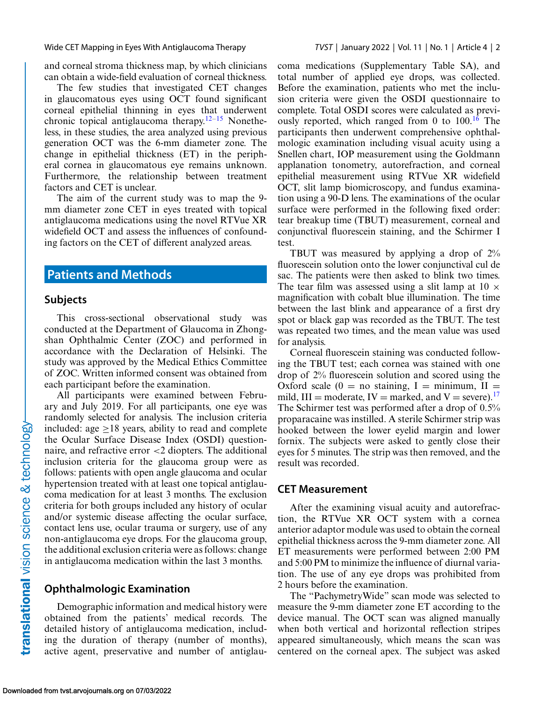and corneal stroma thickness map, by which clinicians can obtain a wide-field evaluation of corneal thickness.

The few studies that investigated CET changes in glaucomatous eyes using OCT found significant corneal epithelial thinning in eyes that underwent chronic topical antiglaucoma therapy.<sup>12–15</sup> Nonetheless, in these studies, the area analyzed using previous generation OCT was the 6-mm diameter zone. The change in epithelial thickness (ET) in the peripheral cornea in glaucomatous eye remains unknown. Furthermore, the relationship between treatment factors and CET is unclear.

The aim of the current study was to map the 9 mm diameter zone CET in eyes treated with topical antiglaucoma medications using the novel RTVue XR widefield OCT and assess the influences of confounding factors on the CET of different analyzed areas.

# **Patients and Methods**

### **Subjects**

This cross-sectional observational study was conducted at the Department of Glaucoma in Zhongshan Ophthalmic Center (ZOC) and performed in accordance with the Declaration of Helsinki. The study was approved by the Medical Ethics Committee of ZOC. Written informed consent was obtained from each participant before the examination.

All participants were examined between February and July 2019. For all participants, one eye was randomly selected for analysis. The inclusion criteria included: age  $\geq$ 18 years, ability to read and complete the Ocular Surface Disease Index (OSDI) questionnaire, and refractive error <2 diopters. The additional inclusion criteria for the glaucoma group were as follows: patients with open angle glaucoma and ocular hypertension treated with at least one topical antiglaucoma medication for at least 3 months. The exclusion criteria for both groups included any history of ocular and/or systemic disease affecting the ocular surface, contact lens use, ocular trauma or surgery, use of any non-antiglaucoma eye drops. For the glaucoma group, the additional exclusion criteria were as follows: change in antiglaucoma medication within the last 3 months.

### **Ophthalmologic Examination**

Demographic information and medical history were obtained from the patients' medical records. The detailed history of antiglaucoma medication, including the duration of therapy (number of months), active agent, preservative and number of antiglaucoma medications (Supplementary Table SA), and total number of applied eye drops, was collected. Before the examination, patients who met the inclusion criteria were given the OSDI questionnaire to complete. Total OSDI scores were calculated as previously reported, which ranged from 0 to  $100<sup>16</sup>$  $100<sup>16</sup>$  $100<sup>16</sup>$  The participants then underwent comprehensive ophthalmologic examination including visual acuity using a Snellen chart, IOP measurement using the Goldmann applanation tonometry, autorefraction, and corneal epithelial measurement using RTVue XR widefield OCT, slit lamp biomicroscopy, and fundus examination using a 90-D lens. The examinations of the ocular surface were performed in the following fixed order: tear breakup time (TBUT) measurement, corneal and conjunctival fluorescein staining, and the Schirmer I test.

TBUT was measured by applying a drop of 2% fluorescein solution onto the lower conjunctival cul de sac. The patients were then asked to blink two times. The tear film was assessed using a slit lamp at  $10 \times$ magnification with cobalt blue illumination. The time between the last blink and appearance of a first dry spot or black gap was recorded as the TBUT. The test was repeated two times, and the mean value was used for analysis.

Corneal fluorescein staining was conducted following the TBUT test; each cornea was stained with one drop of 2% fluorescein solution and scored using the Oxford scale  $(0 = no$  staining, I = minimum, II = mild,  $III =$  moderate,  $IV =$  marked, and  $V =$  severe).<sup>[17](#page-8-0)</sup> The Schirmer test was performed after a drop of 0.5% proparacaine was instilled. A sterile Schirmer strip was hooked between the lower eyelid margin and lower fornix. The subjects were asked to gently close their eyes for 5 minutes. The strip was then removed, and the result was recorded.

### **CET Measurement**

After the examining visual acuity and autorefraction, the RTVue XR OCT system with a cornea anterior adaptor module was used to obtain the corneal epithelial thickness across the 9-mm diameter zone. All ET measurements were performed between 2:00 PM and 5:00 PM to minimize the influence of diurnal variation. The use of any eye drops was prohibited from 2 hours before the examination.

The "PachymetryWide" scan mode was selected to measure the 9-mm diameter zone ET according to the device manual. The OCT scan was aligned manually when both vertical and horizontal reflection stripes appeared simultaneously, which means the scan was centered on the corneal apex. The subject was asked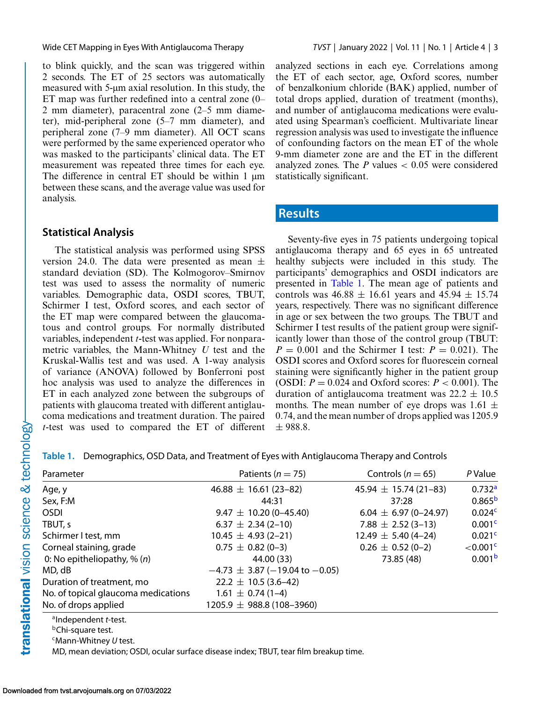to blink quickly, and the scan was triggered within 2 seconds. The ET of 25 sectors was automatically measured with 5-μm axial resolution. In this study, the ET map was further redefined into a central zone (0– 2 mm diameter), paracentral zone (2–5 mm diameter), mid-peripheral zone (5–7 mm diameter), and peripheral zone (7–9 mm diameter). All OCT scans were performed by the same experienced operator who was masked to the participants' clinical data. The ET measurement was repeated three times for each eye. The difference in central ET should be within 1 μm between these scans, and the average value was used for analysis.

### **Statistical Analysis**

The statistical analysis was performed using SPSS version 24.0. The data were presented as mean  $\pm$ standard deviation (SD). The Kolmogorov–Smirnov test was used to assess the normality of numeric variables. Demographic data, OSDI scores, TBUT, Schirmer I test, Oxford scores, and each sector of the ET map were compared between the glaucomatous and control groups. For normally distributed variables, independent *t*-test was applied. For nonparametric variables, the Mann-Whitney *U* test and the Kruskal-Wallis test and was used. A 1-way analysis of variance (ANOVA) followed by Bonferroni post hoc analysis was used to analyze the differences in ET in each analyzed zone between the subgroups of patients with glaucoma treated with different antiglaucoma medications and treatment duration. The paired *t*-test was used to compared the ET of different

analyzed sections in each eye. Correlations among the ET of each sector, age, Oxford scores, number of benzalkonium chloride (BAK) applied, number of total drops applied, duration of treatment (months), and number of antiglaucoma medications were evaluated using Spearman's coefficient. Multivariate linear regression analysis was used to investigate the influence of confounding factors on the mean ET of the whole 9-mm diameter zone are and the ET in the different analyzed zones. The  $P$  values  $< 0.05$  were considered statistically significant.

# **Results**

Seventy-five eyes in 75 patients undergoing topical antiglaucoma therapy and 65 eyes in 65 untreated healthy subjects were included in this study. The participants' demographics and OSDI indicators are presented in Table 1. The mean age of patients and controls was  $46.88 \pm 16.61$  years and  $45.94 \pm 15.74$ years, respectively. There was no significant difference in age or sex between the two groups. The TBUT and Schirmer I test results of the patient group were significantly lower than those of the control group (TBUT:  $P = 0.001$  and the Schirmer I test:  $P = 0.021$ ). The OSDI scores and Oxford scores for fluorescein corneal staining were significantly higher in the patient group (OSDI:  $P = 0.024$  and Oxford scores:  $P < 0.001$ ). The duration of antiglaucoma treatment was  $22.2 \pm 10.5$ months. The mean number of eye drops was  $1.61 \pm$ 0.74, and the mean number of drops applied was 1205.9 ± 988.8.

**Table 1.** Demographics, OSD Data, and Treatment of Eyes with Antiglaucoma Therapy and Controls

| Parameter                           | Patients ( $n = 75$ )                       | Controls ( $n = 65$ )       | P Value             |
|-------------------------------------|---------------------------------------------|-----------------------------|---------------------|
| Age, y                              | $46.88 \pm 16.61(23 - 82)$                  | $45.94 \pm 15.74(21-83)$    | 0.732 <sup>a</sup>  |
| Sex, F:M                            | 44:31                                       | 37:28                       | 0.865 <sup>b</sup>  |
| <b>OSDI</b>                         | $9.47 \pm 10.20$ (0-45.40)                  | $6.04 \pm 6.97 (0 - 24.97)$ | 0.024 <sup>c</sup>  |
| TBUT, s                             | $6.37 \pm 2.34$ (2-10)                      | 7.88 $\pm$ 2.52 (3-13)      | 0.001 <sup>c</sup>  |
| Schirmer I test, mm                 | $10.45 \pm 4.93$ (2-21)                     | $12.49 \pm 5.40$ (4-24)     | 0.021c              |
| Corneal staining, grade             | $0.75 \pm 0.82$ (0-3)                       | $0.26 \pm 0.52(0-2)$        | $<$ 0.001 $\degree$ |
| 0: No epitheliopathy, $\%$ (n)      | 44.00 (33)                                  | 73.85 (48)                  | 0.001 <sup>b</sup>  |
| MD, dB                              | $-4.73 \pm 3.87 (-19.04 \text{ to } -0.05)$ |                             |                     |
| Duration of treatment, mo           | $22.2 \pm 10.5 (3.6 - 42)$                  |                             |                     |
| No. of topical glaucoma medications | $1.61 \pm 0.74(1-4)$                        |                             |                     |
| No. of drops applied                | $1205.9 \pm 988.8$ (108-3960)               |                             |                     |
| <sup>a</sup> Independent t-test.    |                                             |                             |                     |

**bChi-square test.** 

cMann-Whitney *U* test.

MD, mean deviation; OSDI, ocular surface disease index; TBUT, tear film breakup time.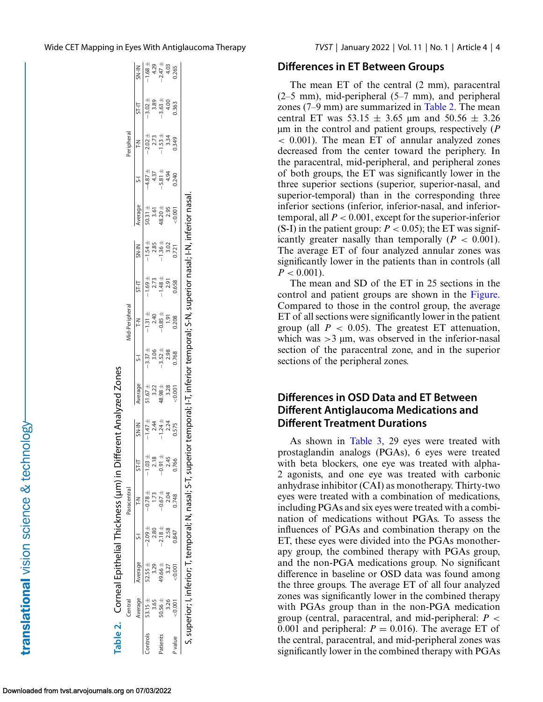| ١<br>ľ      |
|-------------|
|             |
| ر<br>ا      |
|             |
|             |
|             |
| くらいへい       |
|             |
|             |
| $rac{1}{2}$ |
|             |
|             |
|             |
|             |
|             |
|             |
|             |
|             |
|             |

|          |             |             |             | Table 2. Corneal Epithelial Thickness (um) in Differ          |            |                                                              | rent Analyzed Zones                           |                                               |                                                                            |                                      |                                                                                                                          |                                                |                                                                      |                                                          |                                      |                                                                                                  |
|----------|-------------|-------------|-------------|---------------------------------------------------------------|------------|--------------------------------------------------------------|-----------------------------------------------|-----------------------------------------------|----------------------------------------------------------------------------|--------------------------------------|--------------------------------------------------------------------------------------------------------------------------|------------------------------------------------|----------------------------------------------------------------------|----------------------------------------------------------|--------------------------------------|--------------------------------------------------------------------------------------------------|
|          | Central     |             |             | Paracentral                                                   |            |                                                              |                                               |                                               | <b>1id-Peripheral</b>                                                      |                                      |                                                                                                                          |                                                |                                                                      | Peripheral                                               |                                      |                                                                                                  |
|          | Nerage      | Average     |             |                                                               | $T-FZ$     |                                                              | Average                                       | $\overline{5}$                                | 쥐                                                                          | ST-IT                                |                                                                                                                          | werage                                         |                                                                      | $\frac{2}{1}$                                            | ST-IT                                |                                                                                                  |
| controls | $53.15 \pm$ | $52.55 \pm$ | $-2.09 \pm$ | $-0.78 \pm$                                                   | $-1.03 +$  | $\frac{5N+147}{-1.47+4}$<br>- 1.24 +<br>- 1.24 +<br>- 1.24 + |                                               |                                               |                                                                            |                                      | $\begin{array}{r} \n 5N + IN \\  \hline\n -1.54 + 85 \\  -1.36 + 0.22 \\  -1.36 - 0.21 \\  \hline\n 0.721\n \end{array}$ |                                                |                                                                      |                                                          |                                      | $\frac{\text{SN-IN}}{\text{SIN-1}}$ $\frac{4.29}{4.247}$ $\frac{4.29}{4.03}$ $\frac{4.29}{4.03}$ |
|          | 3.65        |             | 2.80        |                                                               | 2.18       |                                                              |                                               |                                               |                                                                            |                                      |                                                                                                                          |                                                |                                                                      |                                                          |                                      |                                                                                                  |
| atients  | $0.56 \pm$  | $4.66 \pm$  | $-2.18 \pm$ | $-0.67 +$                                                     | $0.91 \pm$ |                                                              | $51.67 +$<br>3.22<br>48.98 +<br>48.98<br>3.28 | $-3.37 +$<br>3.06<br>3.52 +<br>3.52 +<br>3.98 | $-1.31 +$<br>$-2.40$<br>$-0.85 +$                                          | $-1.69 + 2.73$<br>-1.48 +<br>-1.48 + |                                                                                                                          | $50.31 \pm 3.61$<br>$3.61$<br>$48.20 \pm 2.95$ | $-4.87 +$<br>$-4.37 +$<br>$-5.81 +$<br>$-4.94$<br>$-4.94$<br>$-4.94$ | $-2.02 +$<br>$2.73 +$<br>$-1.53 +$<br>$-3.34$<br>$0.349$ | $-3.02 +$<br>3.89<br>-3.63 +<br>4.00 |                                                                                                  |
|          |             |             | 2.58        |                                                               | 2.45       |                                                              |                                               |                                               | $-1.91$                                                                    |                                      |                                                                                                                          |                                                |                                                                      |                                                          |                                      |                                                                                                  |
| value    | 0.001       | 0.001       | 0.847       |                                                               | 0.766      | 0.575                                                        |                                               |                                               | 0.208                                                                      | 0.658                                |                                                                                                                          | 0.001                                          |                                                                      |                                                          | 0.363                                |                                                                                                  |
|          |             |             |             | S, superior; I, inferior; T, temporal; N, nasal; S-T, superio |            |                                                              |                                               |                                               | temporal; I-T, inferior temporal; S-N, superior nasal; I-N, inferior nasal |                                      |                                                                                                                          |                                                |                                                                      |                                                          |                                      |                                                                                                  |

### **Differences in ET Between Groups**

The mean ET of the central (2 mm), paracentral (2–5 mm), mid-peripheral (5–7 mm), and peripheral zones (7–9 mm) are summarized in Table 2. The mean central ET was  $53.15 \pm 3.65$  um and  $50.56 \pm 3.26$ μm in the control and patient groups, respectively (*P* < 0.001). The mean ET of annular analyzed zones decreased from the center toward the periphery. In the paracentral, mid-peripheral, and peripheral zones of both groups, the ET was significantly lower in the three superior sections (superior, superior-nasal, and superior-temporal) than in the corresponding three inferior sections (inferior, inferior-nasal, and inferiortemporal, all  $P < 0.001$ , except for the superior-inferior (S-I) in the patient group:  $P < 0.05$ ); the ET was significantly greater nasally than temporally  $(P < 0.001)$ . The average ET of four analyzed annular zones was significantly lower in the patients than in controls (all  $P < 0.001$ ).

The mean and SD of the ET in 25 sections in the control and patient groups are shown in the [Figure.](#page-4-0) Compared to those in the control group, the average ET of all sections were significantly lower in the patient group (all  $P < 0.05$ ). The greatest ET attenuation, which was  $>3 \mu$ m, was observed in the inferior-nasal section of the paracentral zone, and in the superior sections of the peripheral zones.

## **Differences in OSD Data and ET Between Different Antiglaucoma Medications and Different Treatment Durations**

As shown in [Table 3,](#page-4-0) 29 eyes were treated with prostaglandin analogs (PGAs), 6 eyes were treated with beta blockers, one eye was treated with alpha-2 agonists, and one eye was treated with carbonic anhydrase inhibitor (CAI) as monotherapy. Thirty-two eyes were treated with a combination of medications, including PGAs and six eyes were treated with a combination of medications without PGAs. To assess the influences of PGAs and combination therapy on the ET, these eyes were divided into the PGAs monotherapy group, the combined therapy with PGAs group, and the non-PGA medications group. No significant difference in baseline or OSD data was found among the three groups. The average ET of all four analyzed zones was significantly lower in the combined therapy with PGAs group than in the non-PGA medication group (central, paracentral, and mid-peripheral: *P* < 0.001 and peripheral:  $P = 0.016$ ). The average ET of the central, paracentral, and mid-peripheral zones was significantly lower in the combined therapy with PGAs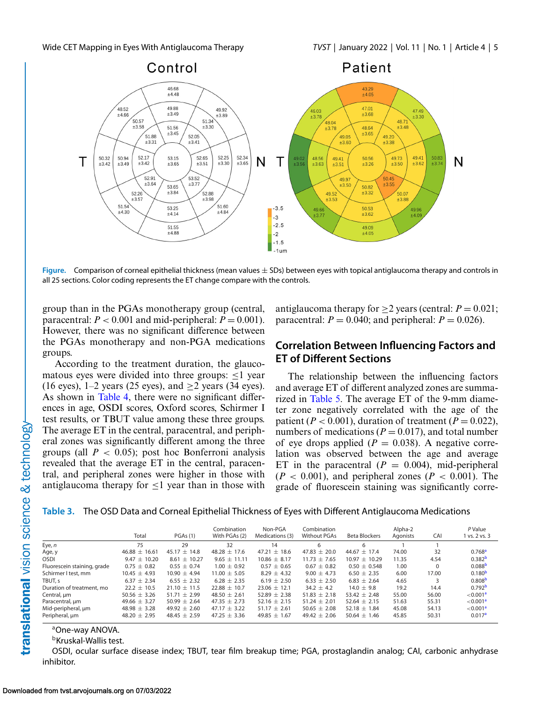<span id="page-4-0"></span>

**Figure.** Comparison of corneal epithelial thickness (mean values  $\pm$  SDs) between eyes with topical antiglaucoma therapy and controls in all 25 sections. Color coding represents the ET change compare with the controls.

group than in the PGAs monotherapy group (central, paracentral:  $P < 0.001$  and mid-peripheral:  $P = 0.001$ ). However, there was no significant difference between the PGAs monotherapy and non-PGA medications groups.

According to the treatment duration, the glaucomatous eyes were divided into three groups:  $\leq$ 1 year (16 eyes),  $1-2$  years (25 eyes), and  $>2$  years (34 eyes). As shown in [Table 4,](#page-5-0) there were no significant differences in age, OSDI scores, Oxford scores, Schirmer I test results, or TBUT value among these three groups. The average ET in the central, paracentral, and peripheral zones was significantly different among the three groups (all  $P < 0.05$ ); post hoc Bonferroni analysis revealed that the average ET in the central, paracentral, and peripheral zones were higher in those with antiglaucoma therapy for  $\leq 1$  year than in those with antiglaucoma therapy for  $>2$  years (central:  $P = 0.021$ ; paracentral:  $P = 0.040$ ; and peripheral:  $P = 0.026$ ).

### **Correlation Between Influencing Factors and ET of Different Sections**

The relationship between the influencing factors and average ET of different analyzed zones are summarized in [Table 5.](#page-5-0) The average ET of the 9-mm diameter zone negatively correlated with the age of the patient ( $P < 0.001$ ), duration of treatment ( $P = 0.022$ ), numbers of medications ( $P = 0.017$ ), and total number of eye drops applied  $(P = 0.038)$ . A negative correlation was observed between the age and average ET in the paracentral  $(P = 0.004)$ , mid-peripheral  $(P < 0.001)$ , and peripheral zones  $(P < 0.001)$ . The grade of fluorescein staining was significantly corre-

### **Table 3.** The OSD Data and Corneal Epithelial Thickness of Eyes with Different Antiglaucoma Medications

|                             | Total             | PGAs(1)          | Combination<br>With PGAs (2) | Non-PGA<br>Medications (3) | Combination<br><b>Without PGAs</b> | <b>Beta Blockers</b> | Alpha-2<br>Agonists | CAI      | P Value<br>1 vs. 2 vs. 3 |
|-----------------------------|-------------------|------------------|------------------------------|----------------------------|------------------------------------|----------------------|---------------------|----------|--------------------------|
| Eye, n                      | 75                | 29               | 32                           | 14                         | 6                                  | 6                    |                     |          |                          |
| Age, y                      | $46.88 \pm 16.61$ | $45.17 \pm 14.8$ | $48.28 + 17.6$               | 47.21 $\pm$ 18.6           | $47.83 \pm 20.0$                   | $44.67 + 17.4$       | 74.00               | 32       | 0.768 <sup>a</sup>       |
| <b>OSDI</b>                 | $9.47 \pm 10.20$  | $8.61 \pm 10.27$ | $9.65 + 11.11$               | $10.86 \pm 8.17$           | $11.73 \pm 7.65$                   | $10.97 + 10.29$      | 11.35               | 4.54     | 0.382 <sup>b</sup>       |
| Fluorescein staining, grade | $0.75 \pm 0.82$   | $0.55 \pm 0.74$  | $1.00 \pm 0.92$              | $0.57 \pm 0.65$            | $0.67 \pm 0.82$                    | $0.50 \pm 0.548$     | 1.00                | $\Omega$ | 0.088 <sup>b</sup>       |
| Schirmer I test, mm         | $10.45 \pm 4.93$  | $10.90 \pm 4.94$ | $11.00 \pm 5.05$             | $8.29 \pm 4.32$            | $9.00 \pm 4.73$                    | $6.50 \pm 2.35$      | 6.00                | 17.00    | 0.180 <sup>b</sup>       |
| TBUT, s                     | $6.37 \pm 2.34$   | $6.55 + 2.32$    | $6.28 + 2.35$                | 6.19 $\pm$ 2.50            | $6.33 \pm 2.50$                    | $6.83 + 2.64$        | 4.65                |          | 0.808 <sup>b</sup>       |
| Duration of treatment, mo   | $22.2 + 10.5$     | $21.10 + 11.5$   | $22.88 + 10.7$               | $23.06 + 12.1$             | $34.2 + 4.2$                       | $14.0 + 9.8$         | 19.2                | 14.4     | 0.792 <sup>b</sup>       |
| Central, um                 | 50.56 $\pm$ 3.26  | $51.71 + 2.99$   | $48.50 + 2.61$               | $52.89 + 2.38$             | $51.83 + 2.18$                     | $53.42 + 2.48$       | 55.00               | 56.00    | < 0.001 <sup>a</sup>     |
| Paracentral, um             | 49.66 $\pm$ 3.27  | $50.99 \pm 2.64$ | 47.35 $\pm$ 2.73             | 52.16 $\pm$ 2.15           | $51.24 \pm 2.01$                   | $52.64 \pm 2.15$     | 51.63               | 55.31    | < 0.001 <sup>a</sup>     |
| Mid-peripheral, um          | $48.98 \pm 3.28$  | $49.92 + 2.60$   | $47.17 + 3.22$               | $51.17 \pm 2.61$           | 50.65 $\pm$ 2.08                   | $52.18 + 1.84$       | 45.08               | 54.13    | < 0.001 <sup>a</sup>     |
| Peripheral, um              | 48.20 $\pm$ 2.95  | $48.45 \pm 2.59$ | $47.25 \pm 3.36$             | 49.85 $\pm$ 1.67           | $49.42 \pm 2.06$                   | $50.64 + 1.46$       | 45.85               | 50.31    | 0.017 <sup>a</sup>       |

aOne-way ANOVA.

**bKruskal-Wallis test.** 

OSDI, ocular surface disease index; TBUT, tear film breakup time; PGA, prostaglandin analog; CAI, carbonic anhydrase inhibitor.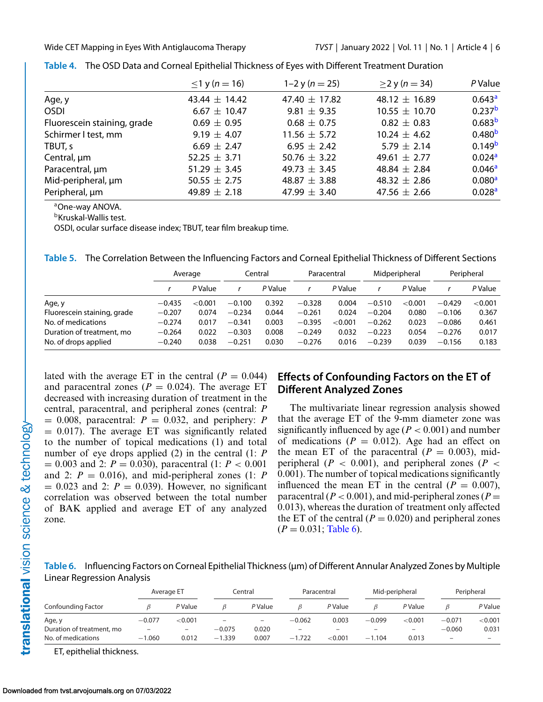|                             | $≤1$ y ( <i>n</i> = 16) | 1–2 y ( $n = 25$ ) | $\geq$ 2 y (n = 34) | P Value            |
|-----------------------------|-------------------------|--------------------|---------------------|--------------------|
| Age, y                      | $43.44 \pm 14.42$       | 47.40 $\pm$ 17.82  | $48.12 \pm 16.89$   | 0.643 <sup>a</sup> |
| <b>OSDI</b>                 | $6.67 \pm 10.47$        | $9.81 \pm 9.35$    | $10.55 \pm 10.70$   | 0.237 <sup>b</sup> |
| Fluorescein staining, grade | $0.69 \pm 0.95$         | $0.68 \pm 0.75$    | $0.82 \pm 0.83$     | 0.683 <sup>b</sup> |
| Schirmer I test, mm         | $9.19 \pm 4.07$         | $11.56 \pm 5.72$   | $10.24 \pm 4.62$    | 0.480 <sup>b</sup> |
| TBUT, s                     | 6.69 $\pm$ 2.47         | 6.95 $\pm$ 2.42    | 5.79 $\pm$ 2.14     | 0.149 <sup>b</sup> |
| Central, um                 | 52.25 $\pm$ 3.71        | 50.76 $\pm$ 3.22   | 49.61 $\pm$ 2.77    | 0.024 <sup>a</sup> |
| Paracentral, um             | 51.29 $\pm$ 3.45        | 49.73 $\pm$ 3.45   | 48.84 $\pm$ 2.84    | 0.046 <sup>a</sup> |
| Mid-peripheral, um          | 50.55 $\pm$ 2.75        | 48.87 $\pm$ 3.88   | 48.32 $\pm$ 2.86    | 0.080 <sup>a</sup> |
| Peripheral, um              | 49.89 $\pm$ 2.18        | 47.99 $\pm$ 3.40   | 47.56 $\pm$ 2.66    | 0.028 <sup>a</sup> |

<span id="page-5-0"></span>

|  | Table 4. The OSD Data and Corneal Epithelial Thickness of Eyes with Different Treatment Duration |  |  |  |
|--|--------------------------------------------------------------------------------------------------|--|--|--|
|--|--------------------------------------------------------------------------------------------------|--|--|--|

aOne-way ANOVA.

bKruskal-Wallis test.

OSDI, ocular surface disease index; TBUT, tear film breakup time.

|                             |          | Average |          | Central |          | Paracentral |          | Midperipheral |          | Peripheral |
|-----------------------------|----------|---------|----------|---------|----------|-------------|----------|---------------|----------|------------|
|                             |          | P Value |          | P Value |          | P Value     |          | P Value       |          | P Value    |
| Age, y                      | $-0.435$ | < 0.001 | $-0.100$ | 0.392   | $-0.328$ | 0.004       | $-0.510$ | ${<}0.001$    | $-0.429$ | < 0.001    |
| Fluorescein staining, grade | $-0.207$ | 0.074   | $-0.234$ | 0.044   | $-0.261$ | 0.024       | $-0.204$ | 0.080         | $-0.106$ | 0.367      |
| No. of medications          | $-0.274$ | 0.017   | $-0.341$ | 0.003   | $-0.395$ | < 0.001     | $-0.262$ | 0.023         | $-0.086$ | 0.461      |
| Duration of treatment, mo   | $-0.264$ | 0.022   | $-0.303$ | 0.008   | $-0.249$ | 0.032       | $-0.223$ | 0.054         | $-0.276$ | 0.017      |
| No. of drops applied        | $-0.240$ | 0.038   | $-0.251$ | 0.030   | $-0.276$ | 0.016       | $-0.239$ | 0.039         | $-0.156$ | 0.183      |

lated with the average ET in the central  $(P = 0.044)$ and paracentral zones  $(P = 0.024)$ . The average ET decreased with increasing duration of treatment in the central, paracentral, and peripheral zones (central: *P*  $= 0.008$ , paracentral:  $P = 0.032$ , and periphery: *P*  $= 0.017$ ). The average ET was significantly related to the number of topical medications (1) and total number of eye drops applied (2) in the central (1: *P* = 0.003 and 2: *P* = 0.030), paracentral (1: *P* < 0.001 and 2:  $P = 0.016$ , and mid-peripheral zones (1: *P*  $= 0.023$  and 2:  $P = 0.039$ . However, no significant correlation was observed between the total number of BAK applied and average ET of any analyzed zone.

# **Effects of Confounding Factors on the ET of Different Analyzed Zones**

The multivariate linear regression analysis showed that the average ET of the 9-mm diameter zone was significantly influenced by age ( $P < 0.001$ ) and number of medications  $(P = 0.012)$ . Age had an effect on the mean ET of the paracentral  $(P = 0.003)$ , midperipheral ( $P < 0.001$ ), and peripheral zones ( $P <$ 0.001). The number of topical medications significantly influenced the mean ET in the central  $(P = 0.007)$ , paracentral ( $P < 0.001$ ), and mid-peripheral zones ( $P =$ 0.013), whereas the duration of treatment only affected the ET of the central  $(P = 0.020)$  and peripheral zones  $(P = 0.031;$  Table 6).

**Table 6.** Influencing Factors on Corneal Epithelial Thickness (μm) of Different Annular Analyzed Zones by Multiple Linear Regression Analysis

| Average ET                |          |                          | Central  |                          |          | Paracentral              |                              | Mid-peripheral           |          | Peripheral |
|---------------------------|----------|--------------------------|----------|--------------------------|----------|--------------------------|------------------------------|--------------------------|----------|------------|
| Confounding Factor        |          | P Value                  |          | P Value                  |          | P Value                  |                              | P Value                  |          | P Value    |
| Age, y                    | $-0.077$ | < 0.001                  |          | $\overline{\phantom{0}}$ | $-0.062$ | 0.003                    | $-0.099$                     | < 0.001                  | $-0.071$ | < 0.001    |
| Duration of treatment, mo | $-$      | $\overline{\phantom{m}}$ | $-0.075$ | 0.020                    | -        | $\overline{\phantom{0}}$ | $\qquad \qquad \blacksquare$ | $\overline{\phantom{m}}$ | $-0.060$ | 0.031      |
| No. of medications        | $-1.060$ | 0.012                    | $-1.339$ | 0.007                    | $-1.722$ | < 0.001                  | $-1.104$                     | 0.013                    | -        |            |

ET, epithelial thickness.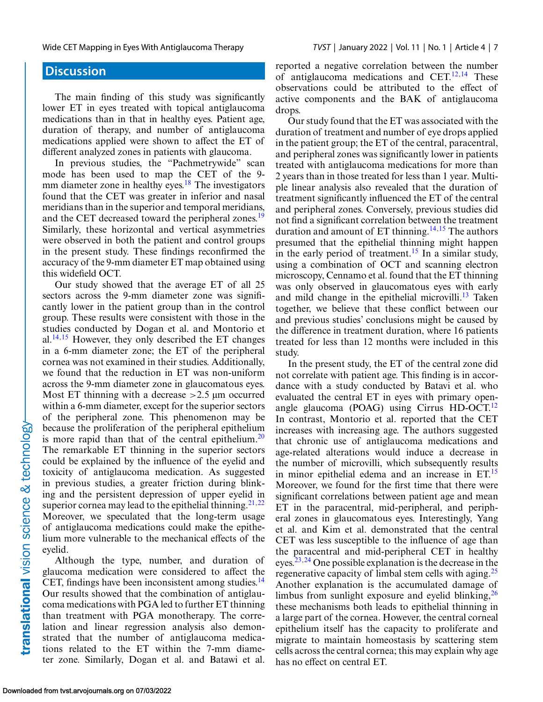# **Discussion**

The main finding of this study was significantly lower ET in eyes treated with topical antiglaucoma medications than in that in healthy eyes. Patient age, duration of therapy, and number of antiglaucoma medications applied were shown to affect the ET of different analyzed zones in patients with glaucoma.

In previous studies, the "Pachmetrywide" scan mode has been used to map the CET of the 9- mm diameter zone in healthy eyes.<sup>[18](#page-8-0)</sup> The investigators found that the CET was greater in inferior and nasal meridians than in the superior and temporal meridians, and the CET decreased toward the peripheral zones.<sup>19</sup> Similarly, these horizontal and vertical asymmetries were observed in both the patient and control groups in the present study. These findings reconfirmed the accuracy of the 9-mm diameter ET map obtained using this widefield OCT.

Our study showed that the average ET of all 25 sectors across the 9-mm diameter zone was significantly lower in the patient group than in the control group. These results were consistent with those in the studies conducted by Dogan et al. and Montorio et al.<sup>[14,15](#page-8-0)</sup> However, they only described the ET changes in a 6-mm diameter zone; the ET of the peripheral cornea was not examined in their studies. Additionally, we found that the reduction in ET was non-uniform across the 9-mm diameter zone in glaucomatous eyes. Most ET thinning with a decrease  $>2.5$  µm occurred within a 6-mm diameter, except for the superior sectors of the peripheral zone. This phenomenon may be because the proliferation of the peripheral epithelium is more rapid than that of the central epithelium.<sup>20</sup> The remarkable ET thinning in the superior sectors could be explained by the influence of the eyelid and toxicity of antiglaucoma medication. As suggested in previous studies, a greater friction during blinking and the persistent depression of upper eyelid in superior cornea may lead to the epithelial thinning.<sup>[21,22](#page-8-0)</sup> Moreover, we speculated that the long-term usage of antiglaucoma medications could make the epithelium more vulnerable to the mechanical effects of the eyelid.

Although the type, number, and duration of glaucoma medication were considered to affect the CET, findings have been inconsistent among studies.<sup>14</sup> Our results showed that the combination of antiglaucoma medications with PGA led to further ET thinning than treatment with PGA monotherapy. The correlation and linear regression analysis also demonstrated that the number of antiglaucoma medications related to the ET within the 7-mm diameter zone. Similarly, Dogan et al. and Batawi et al.

reported a negative correlation between the number of antiglaucoma medications and CET. $12,14$  These observations could be attributed to the effect of active components and the BAK of antiglaucoma drops.

Our study found that the ET was associated with the duration of treatment and number of eye drops applied in the patient group; the ET of the central, paracentral, and peripheral zones was significantly lower in patients treated with antiglaucoma medications for more than 2 years than in those treated for less than 1 year. Multiple linear analysis also revealed that the duration of treatment significantly influenced the ET of the central and peripheral zones. Conversely, previous studies did not find a significant correlation between the treatment duration and amount of ET thinning.<sup>[14,15](#page-8-0)</sup> The authors presumed that the epithelial thinning might happen in the early period of treatment.<sup>[15](#page-8-0)</sup> In a similar study, using a combination of OCT and scanning electron microscopy, Cennamo et al. found that the ET thinning was only observed in glaucomatous eyes with early and mild change in the epithelial microvilli. $^{13}$  $^{13}$  $^{13}$  Taken together, we believe that these conflict between our and previous studies' conclusions might be caused by the difference in treatment duration, where 16 patients treated for less than 12 months were included in this study.

In the present study, the ET of the central zone did not correlate with patient age. This finding is in accordance with a study conducted by Batavi et al. who evaluated the central ET in eyes with primary open-angle glaucoma (POAG) using Cirrus HD-OCT.<sup>[12](#page-8-0)</sup> In contrast, Montorio et al. reported that the CET increases with increasing age. The authors suggested that chronic use of antiglaucoma medications and age-related alterations would induce a decrease in the number of microvilli, which subsequently results in minor epithelial edema and an increase in  $ET<sup>15</sup>$  $ET<sup>15</sup>$  $ET<sup>15</sup>$ Moreover, we found for the first time that there were significant correlations between patient age and mean ET in the paracentral, mid-peripheral, and peripheral zones in glaucomatous eyes. Interestingly, Yang et al. and Kim et al. demonstrated that the central CET was less susceptible to the influence of age than the paracentral and mid-peripheral CET in healthy eyes.[23,24](#page-8-0) One possible explanation is the decrease in the regenerative capacity of limbal stem cells with aging.<sup>[25](#page-8-0)</sup> Another explanation is the accumulated damage of limbus from sunlight exposure and eyelid blinking,  $^{26}$  $^{26}$  $^{26}$ these mechanisms both leads to epithelial thinning in a large part of the cornea. However, the central corneal epithelium itself has the capacity to proliferate and migrate to maintain homeostasis by scattering stem cells across the central cornea; this may explain why age has no effect on central ET.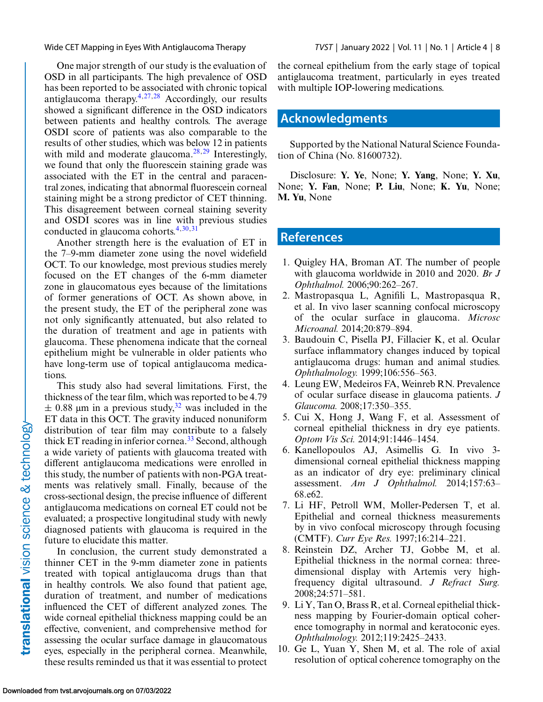<span id="page-7-0"></span>One major strength of our study is the evaluation of OSD in all participants. The high prevalence of OSD has been reported to be associated with chronic topical antiglaucoma therapy. $4,27,28$  $4,27,28$  Accordingly, our results showed a significant difference in the OSD indicators between patients and healthy controls. The average OSDI score of patients was also comparable to the results of other studies, which was below 12 in patients with mild and moderate glaucoma.<sup>[28,29](#page-8-0)</sup> Interestingly, we found that only the fluorescein staining grade was associated with the ET in the central and paracentral zones, indicating that abnormal fluorescein corneal staining might be a strong predictor of CET thinning. This disagreement between corneal staining severity and OSDI scores was in line with previous studies conducted in glaucoma cohorts. $4,30,31$  $4,30,31$ 

Another strength here is the evaluation of ET in the 7–9-mm diameter zone using the novel widefield OCT. To our knowledge, most previous studies merely focused on the ET changes of the 6-mm diameter zone in glaucomatous eyes because of the limitations of former generations of OCT. As shown above, in the present study, the ET of the peripheral zone was not only significantly attenuated, but also related to the duration of treatment and age in patients with glaucoma. These phenomena indicate that the corneal epithelium might be vulnerable in older patients who have long-term use of topical antiglaucoma medications.

This study also had several limitations. First, the thickness of the tear film, which was reported to be 4.79  $\pm$  0.88 μm in a previous study,<sup>[32](#page-8-0)</sup> was included in the ET data in this OCT. The gravity induced nonuniform distribution of tear film may contribute to a falsely thick ET reading in inferior cornea. $33$  Second, although a wide variety of patients with glaucoma treated with different antiglaucoma medications were enrolled in this study, the number of patients with non-PGA treatments was relatively small. Finally, because of the cross-sectional design, the precise influence of different antiglaucoma medications on corneal ET could not be evaluated; a prospective longitudinal study with newly diagnosed patients with glaucoma is required in the future to elucidate this matter.

In conclusion, the current study demonstrated a thinner CET in the 9-mm diameter zone in patients treated with topical antiglaucoma drugs than that in healthy controls. We also found that patient age, duration of treatment, and number of medications influenced the CET of different analyzed zones. The wide corneal epithelial thickness mapping could be an effective, convenient, and comprehensive method for assessing the ocular surface damage in glaucomatous eyes, especially in the peripheral cornea. Meanwhile, these results reminded us that it was essential to protect the corneal epithelium from the early stage of topical antiglaucoma treatment, particularly in eyes treated with multiple IOP-lowering medications.

# **Acknowledgments**

Supported by the National Natural Science Foundation of China (No. 81600732).

Disclosure: **Y. Ye**, None; **Y. Yang**, None; **Y. Xu**, None; **Y. Fan**, None; **P. Liu**, None; **K. Yu**, None; **M. Yu**, None

## **References**

- 1. Quigley HA, Broman AT. The number of people with glaucoma worldwide in 2010 and 2020. *Br J Ophthalmol.* 2006;90:262–267.
- 2. Mastropasqua L, Agnifili L, Mastropasqua R, et al. In vivo laser scanning confocal microscopy of the ocular surface in glaucoma. *Microsc Microanal.* 2014;20:879–894.
- 3. Baudouin C, Pisella PJ, Fillacier K, et al. Ocular surface inflammatory changes induced by topical antiglaucoma drugs: human and animal studies. *Ophthalmology.* 1999;106:556–563.
- 4. Leung EW, Medeiros FA, Weinreb RN. Prevalence of ocular surface disease in glaucoma patients. *J Glaucoma.* 2008;17:350–355.
- 5. Cui X, Hong J, Wang F, et al. Assessment of corneal epithelial thickness in dry eye patients. *Optom Vis Sci.* 2014;91:1446–1454.
- 6. Kanellopoulos AJ, Asimellis G. In vivo 3 dimensional corneal epithelial thickness mapping as an indicator of dry eye: preliminary clinical assessment. *Am J Ophthalmol.* 2014;157:63– 68.e62.
- 7. Li HF, Petroll WM, Moller-Pedersen T, et al. Epithelial and corneal thickness measurements by in vivo confocal microscopy through focusing (CMTF). *Curr Eye Res.* 1997;16:214–221.
- 8. Reinstein DZ, Archer TJ, Gobbe M, et al. Epithelial thickness in the normal cornea: threedimensional display with Artemis very highfrequency digital ultrasound. *J Refract Surg.* 2008;24:571–581.
- 9. Li Y, Tan O, Brass R, et al. Corneal epithelial thickness mapping by Fourier-domain optical coherence tomography in normal and keratoconic eyes. *Ophthalmology.* 2012;119:2425–2433.
- 10. Ge L, Yuan Y, Shen M, et al. The role of axial resolution of optical coherence tomography on the